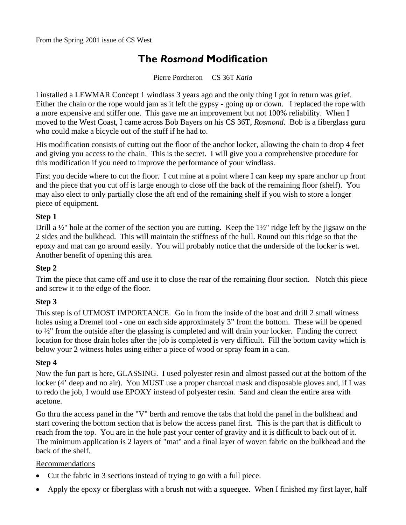# **The** *Rosmond* **Modification**

Pierre Porcheron CS 36T *Katia* 

I installed a LEWMAR Concept 1 windlass 3 years ago and the only thing I got in return was grief. Either the chain or the rope would jam as it left the gypsy - going up or down. I replaced the rope with a more expensive and stiffer one. This gave me an improvement but not 100% reliability. When I moved to the West Coast, I came across Bob Bayers on his CS 36T, *Rosmond*. Bob is a fiberglass guru who could make a bicycle out of the stuff if he had to.

His modification consists of cutting out the floor of the anchor locker, allowing the chain to drop 4 feet and giving you access to the chain. This is the secret. I will give you a comprehensive procedure for this modification if you need to improve the performance of your windlass.

First you decide where to cut the floor. I cut mine at a point where I can keep my spare anchor up front and the piece that you cut off is large enough to close off the back of the remaining floor (shelf). You may also elect to only partially close the aft end of the remaining shelf if you wish to store a longer piece of equipment.

# **Step 1**

Drill a ½" hole at the corner of the section you are cutting. Keep the 1½" ridge left by the jigsaw on the 2 sides and the bulkhead. This will maintain the stiffness of the hull. Round out this ridge so that the epoxy and mat can go around easily. You will probably notice that the underside of the locker is wet. Another benefit of opening this area.

### **Step 2**

Trim the piece that came off and use it to close the rear of the remaining floor section. Notch this piece and screw it to the edge of the floor.

### **Step 3**

This step is of UTMOST IMPORTANCE. Go in from the inside of the boat and drill 2 small witness holes using a Dremel tool - one on each side approximately 3" from the bottom. These will be opened to ½" from the outside after the glassing is completed and will drain your locker. Finding the correct location for those drain holes after the job is completed is very difficult. Fill the bottom cavity which is below your 2 witness holes using either a piece of wood or spray foam in a can.

### **Step 4**

Now the fun part is here, GLASSING. I used polyester resin and almost passed out at the bottom of the locker (4' deep and no air). You MUST use a proper charcoal mask and disposable gloves and, if I was to redo the job, I would use EPOXY instead of polyester resin. Sand and clean the entire area with acetone.

Go thru the access panel in the "V" berth and remove the tabs that hold the panel in the bulkhead and start covering the bottom section that is below the access panel first. This is the part that is difficult to reach from the top. You are in the hole past your center of gravity and it is difficult to back out of it. The minimum application is 2 layers of "mat" and a final layer of woven fabric on the bulkhead and the back of the shelf.

### Recommendations

- Cut the fabric in 3 sections instead of trying to go with a full piece.
- Apply the epoxy or fiberglass with a brush not with a squeegee. When I finished my first layer, half